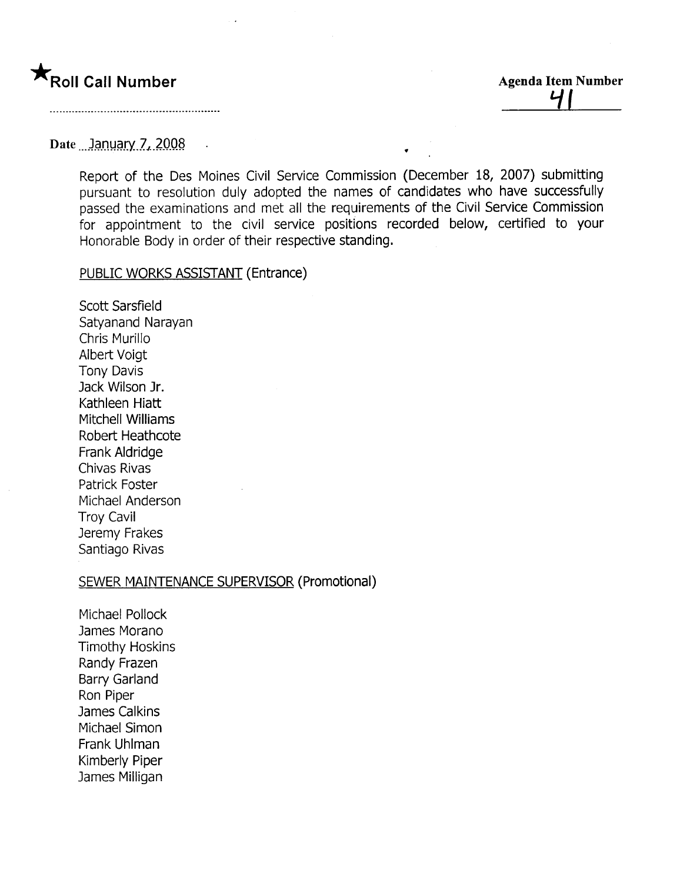# **\*** Roll Call Number

Agenda Item Number <u>ii It</u>

### Date ...January 7, 2008

Report of the Des Moines Civil Service Commission (December 18, 2007) submitting pursuant to resolution duly adopted the names of candidates who have successfully passed the examinations and met all the requirements of the Civil Service Commission for appointment to the civil service positions recorded below, certified to your Honorable Body in order of their respective standing.

.

#### PUBLIC WORKS ASSISTANT (Entrance)

Scott Sarsfield Satyanand Narayan Chris Murillo Albert Voigt Tony Davis Jack Wilson Jr. Kathleen Hiatt Mitchell Williams Robert Heathcote Frank Aldridge Chivas Rivas Patrick Foster Michael Anderson Troy Cavil Jeremy Frakes Santiago Rivas

#### SEWER MAINTENANCE SUPERVISOR (Promotional)

Michael Pollock James Morano Timothy Hoskins Randy Frazen Barry Garland Ron Piper James Calkins Michael Simon Frank Uhlman Kimberly Piper James Milligan